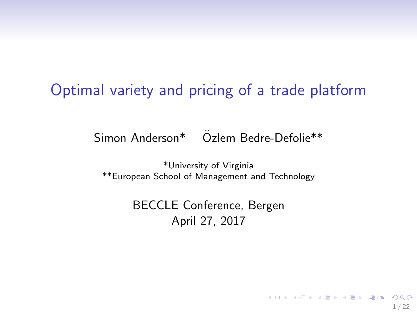#### <span id="page-0-0"></span>Optimal variety and pricing of a trade platform

Simon Anderson\* Ozlem Bedre-Defolie\*\* ¨

\*University of Virginia \*\*European School of Management and Technology

> BECCLE Conference, Bergen April 27, 2017

> > 1 / 22

KOR KAR KERKER EE KAA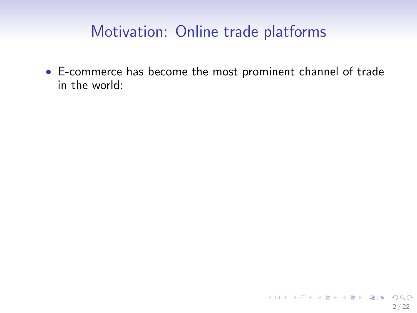• E-commerce has become the most prominent channel of trade in the world: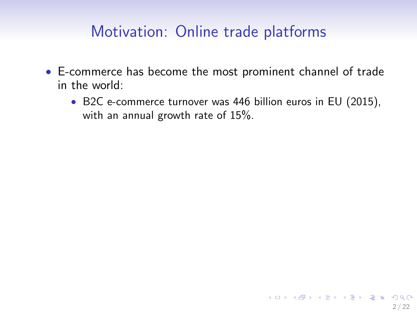- E-commerce has become the most prominent channel of trade in the world:
	- B2C e-commerce turnover was 446 billion euros in EU (2015), with an annual growth rate of 15%.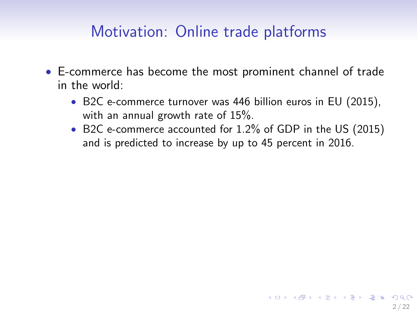- E-commerce has become the most prominent channel of trade in the world:
	- B2C e-commerce turnover was 446 billion euros in EU (2015), with an annual growth rate of 15%.
	- B2C e-commerce accounted for 1.2% of GDP in the US (2015) and is predicted to increase by up to 45 percent in 2016.

2 / 22

KOR KAR KERKER EE KAA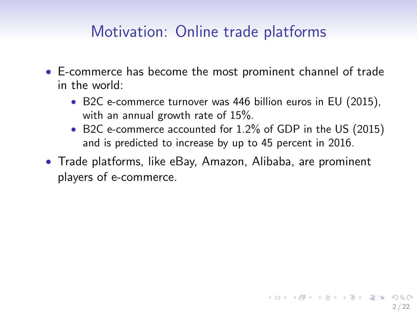- E-commerce has become the most prominent channel of trade in the world:
	- B2C e-commerce turnover was 446 billion euros in EU (2015), with an annual growth rate of 15%.
	- B2C e-commerce accounted for 1.2% of GDP in the US (2015) and is predicted to increase by up to 45 percent in 2016.
- Trade platforms, like eBay, Amazon, Alibaba, are prominent players of e-commerce.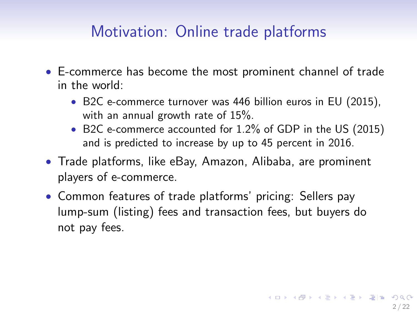- E-commerce has become the most prominent channel of trade in the world:
	- B2C e-commerce turnover was 446 billion euros in EU (2015), with an annual growth rate of 15%.
	- B2C e-commerce accounted for 1.2% of GDP in the US (2015) and is predicted to increase by up to 45 percent in 2016.
- Trade platforms, like eBay, Amazon, Alibaba, are prominent players of e-commerce.
- Common features of trade platforms' pricing: Sellers pay lump-sum (listing) fees and transaction fees, but buyers do not pay fees.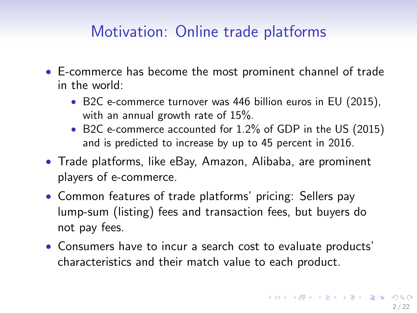- E-commerce has become the most prominent channel of trade in the world:
	- B2C e-commerce turnover was 446 billion euros in EU (2015), with an annual growth rate of 15%.
	- B2C e-commerce accounted for 1.2% of GDP in the US (2015) and is predicted to increase by up to 45 percent in 2016.
- Trade platforms, like eBay, Amazon, Alibaba, are prominent players of e-commerce.
- Common features of trade platforms' pricing: Sellers pay lump-sum (listing) fees and transaction fees, but buyers do not pay fees.
- Consumers have to incur a search cost to evaluate products' characteristics and their match value to each product.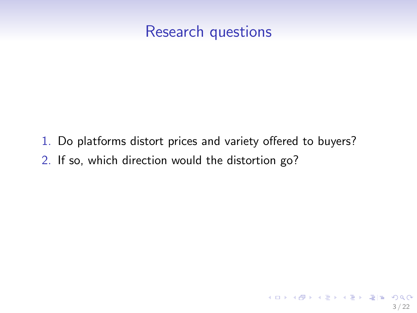#### <span id="page-7-0"></span>Research questions

1. Do platforms distort prices and variety offered to buyers? 2. If so, which direction would the distortion go?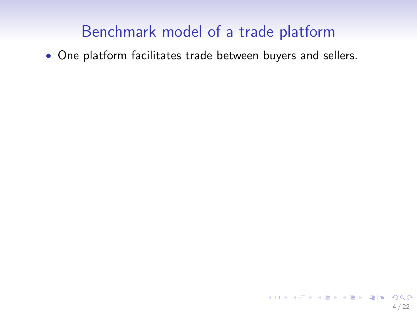<span id="page-8-0"></span>• One platform facilitates trade between buyers and sellers.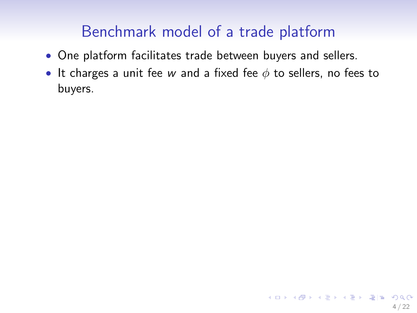- One platform facilitates trade between buyers and sellers.
- It charges a unit fee w and a fixed fee  $\phi$  to sellers, no fees to buyers.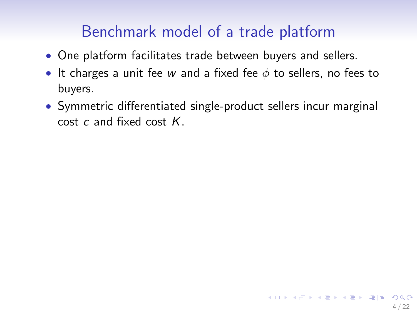- One platform facilitates trade between buyers and sellers.
- It charges a unit fee w and a fixed fee  $\phi$  to sellers, no fees to buyers.
- Symmetric differentiated single-product sellers incur marginal cost c and fixed cost K.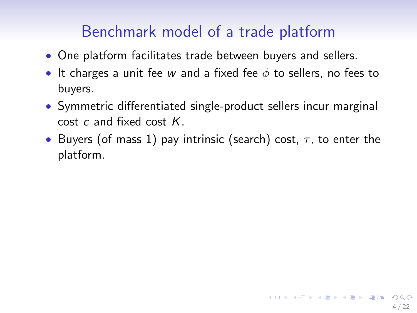- One platform facilitates trade between buyers and sellers.
- It charges a unit fee w and a fixed fee  $\phi$  to sellers, no fees to buyers.
- Symmetric differentiated single-product sellers incur marginal cost c and fixed cost K.
- Buyers (of mass 1) pay intrinsic (search) cost,  $\tau$ , to enter the platform.

4 / 22

KOR KAR KERKER EE KAA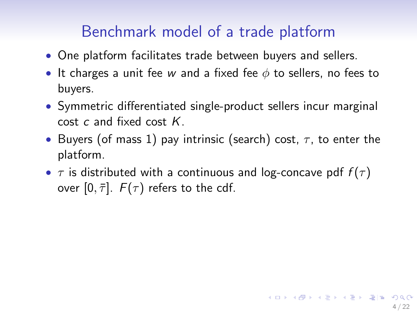- One platform facilitates trade between buyers and sellers.
- It charges a unit fee w and a fixed fee  $\phi$  to sellers, no fees to buyers.
- Symmetric differentiated single-product sellers incur marginal cost  $c$  and fixed cost  $K$ .
- Buyers (of mass 1) pay intrinsic (search) cost,  $\tau$ , to enter the platform.
- $\tau$  is distributed with a continuous and log-concave pdf  $f(\tau)$ over  $[0, \bar{\tau}]$ .  $F(\tau)$  refers to the cdf.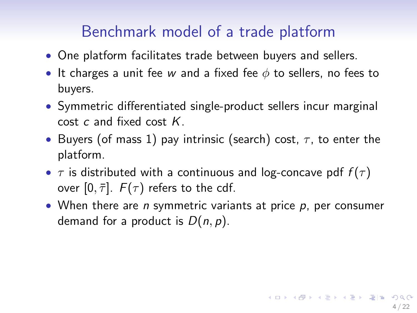- One platform facilitates trade between buyers and sellers.
- It charges a unit fee w and a fixed fee  $\phi$  to sellers, no fees to buyers.
- Symmetric differentiated single-product sellers incur marginal cost  $c$  and fixed cost  $K$ .
- Buyers (of mass 1) pay intrinsic (search) cost,  $\tau$ , to enter the platform.
- $\tau$  is distributed with a continuous and log-concave pdf  $f(\tau)$ over  $[0, \bar{\tau}]$ .  $F(\tau)$  refers to the cdf.
- When there are *n* symmetric variants at price  $p$ , per consumer demand for a product is  $D(n, p)$ .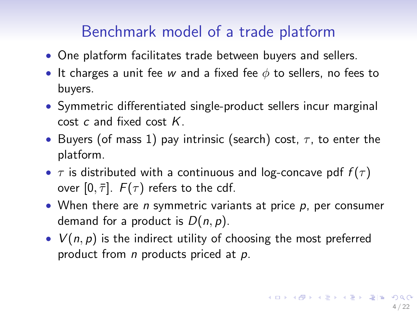- <span id="page-14-0"></span>• One platform facilitates trade between buyers and sellers.
- It charges a unit fee w and a fixed fee  $\phi$  to sellers, no fees to buyers.
- Symmetric differentiated single-product sellers incur marginal cost  $c$  and fixed cost  $K$ .
- Buyers (of mass 1) pay intrinsic (search) cost,  $\tau$ , to enter the platform.
- $\tau$  is distributed with a continuous and log-concave pdf  $f(\tau)$ over  $[0, \bar{\tau}]$ .  $F(\tau)$  refers to the cdf.
- When there are  $n$  symmetric variants at price  $p$ , per consumer demand for a product is  $D(n, p)$ .
- $V(n, p)$  is the indirect utility of choosing the most preferred product from  $n$  products priced at  $p$ .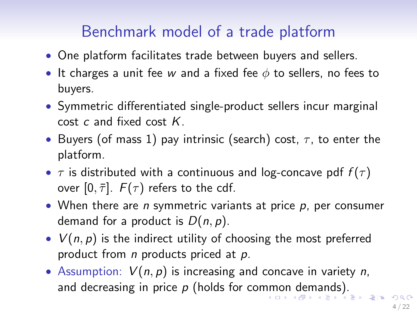- <span id="page-15-0"></span>• One platform facilitates trade between buyers and sellers.
- It charges a unit fee w and a fixed fee  $\phi$  to sellers, no fees to buyers.
- Symmetric differentiated single-product sellers incur marginal cost  $c$  and fixed cost  $K$ .
- Buyers (of mass 1) pay intrinsic (search) cost,  $\tau$ , to enter the platform.
- $\tau$  is distributed with a continuous and log-concave pdf  $f(\tau)$ over  $[0, \bar{\tau}]$ .  $F(\tau)$  refers to the cdf.
- When there are  $n$  symmetric variants at price  $p$ , per consumer demand for a product is  $D(n, p)$ .
- $V(n, p)$  is the indirect utility of choosing the most preferred product from  $n$  products priced at  $p$ .
- Assumption:  $V(n, p)$  is increasing and concave in variety n, and[d](#page-91-0)[e](#page-15-0)crea[s](#page-92-0)ing in price  $p$  (holds for co[mm](#page-14-0)[on](#page-16-0) de[m](#page-16-0)[an](#page-0-0)ds[\).](#page-0-0)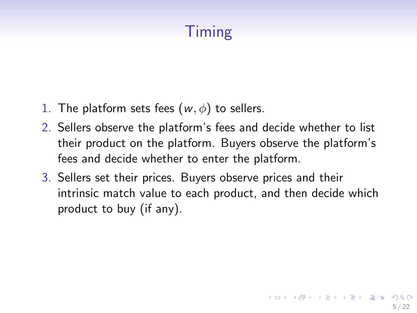# Timing

- <span id="page-16-0"></span>1. The platform sets fees  $(w, \phi)$  to sellers.
- 2. Sellers observe the platform's fees and decide whether to list their product on the platform. Buyers observe the platform's fees and decide whether to enter the platform.
- 3. Sellers set their prices. Buyers observe prices and their intrinsic match value to each product, and then decide which product to buy (if any).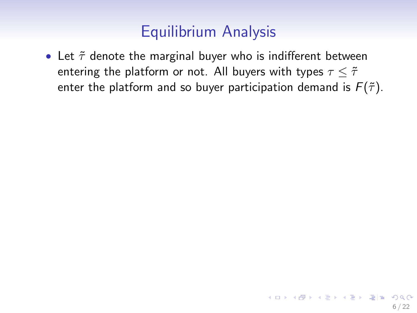• Let  $\tilde{\tau}$  denote the marginal buyer who is indifferent between entering the platform or not. All buyers with types  $\tau \leq \tilde{\tau}$ enter the platform and so buyer participation demand is  $F(\tilde{\tau})$ .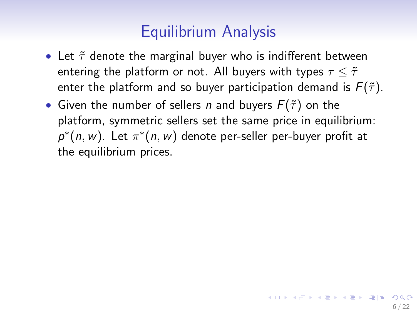- Let  $\tilde{\tau}$  denote the marginal buyer who is indifferent between entering the platform or not. All buyers with types  $\tau \leq \tilde{\tau}$ enter the platform and so buyer participation demand is  $F(\tilde{\tau})$ .
- Given the number of sellers *n* and buyers  $F(\tilde{\tau})$  on the platform, symmetric sellers set the same price in equilibrium:  $p^*(n, w)$ . Let  $\pi^*(n, w)$  denote per-seller per-buyer profit at the equilibrium prices.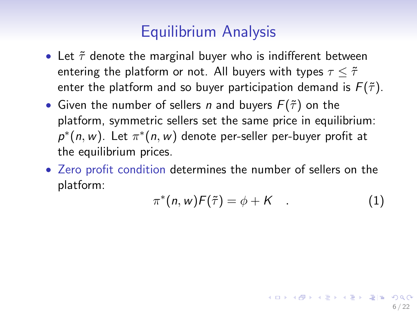- Let  $\tilde{\tau}$  denote the marginal buyer who is indifferent between entering the platform or not. All buyers with types  $\tau \leq \tilde{\tau}$ enter the platform and so buyer participation demand is  $F(\tilde{\tau})$ .
- Given the number of sellers *n* and buyers  $F(\tilde{\tau})$  on the platform, symmetric sellers set the same price in equilibrium:  $p^*(n, w)$ . Let  $\pi^*(n, w)$  denote per-seller per-buyer profit at the equilibrium prices.
- Zero profit condition determines the number of sellers on the platform:

$$
\pi^*(n, w) F(\tilde{\tau}) = \phi + K \quad . \tag{1}
$$

6 / 22

K ロ ▶ K @ ▶ K 결 ▶ K 결 ▶ [결] ≥ 19 Q Q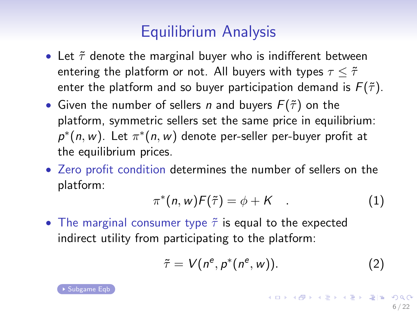- Let  $\tilde{\tau}$  denote the marginal buyer who is indifferent between entering the platform or not. All buyers with types  $\tau \leq \tilde{\tau}$ enter the platform and so buyer participation demand is  $F(\tilde{\tau})$ .
- Given the number of sellers *n* and buyers  $F(\tilde{\tau})$  on the platform, symmetric sellers set the same price in equilibrium:  $p^*(n, w)$ . Let  $\pi^*(n, w)$  denote per-seller per-buyer profit at the equilibrium prices.
- Zero profit condition determines the number of sellers on the platform:

$$
\pi^*(n, w) \mathcal{F}(\tilde{\tau}) = \phi + K \quad . \tag{1}
$$

• The marginal consumer type  $\tilde{\tau}$  is equal to the expected indirect utility from participating to the platform:

$$
\tilde{\tau} = V(n^e, p^*(n^e, w)). \tag{2}
$$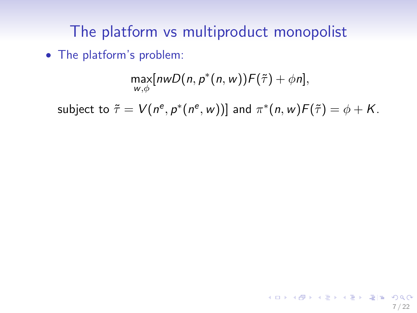# The platform vs multiproduct monopolist

• The platform's problem:

$$
\max_{\substack{w,\phi}}[n w D(n, p^*(n, w)) \mathcal{F}(\tilde{\tau}) + \phi n],
$$

subject to  $\tilde{\tau} = V(n^e, p^*(n^e, w))]$  and  $\pi^*(n, w)F(\tilde{\tau}) = \phi + K$ .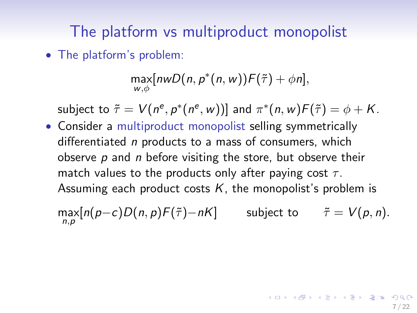# The platform vs multiproduct monopolist

• The platform's problem:

$$
\max_{w,\phi}[n w D(n,p^*(n,w))F(\tilde{\tau})+\phi n],
$$

subject to  $\tilde{\tau} = V(n^e, p^*(n^e, w))]$  and  $\pi^*(n, w)F(\tilde{\tau}) = \phi + K$ .

• Consider a multiproduct monopolist selling symmetrically differentiated *n* products to a mass of consumers, which observe  $p$  and  $n$  before visiting the store, but observe their match values to the products only after paying cost  $\tau$ . Assuming each product costs  $K$ , the monopolist's problem is

 $\max_{n,p}[n(p-c)D(n,p)\mathcal{F}(\tilde{\tau})-n\mathcal{K}]$  subject to  $\tilde{\tau}=V(p,n).$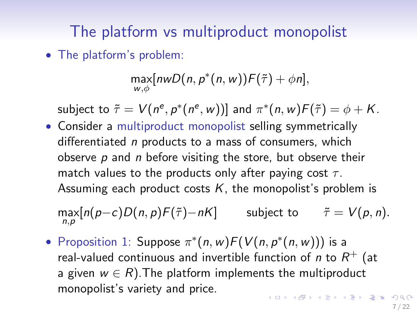# The platform vs multiproduct monopolist

• The platform's problem:

$$
\max_{w,\phi}[n w D(n,p^*(n,w))F(\tilde{\tau})+\phi n],
$$

subject to  $\tilde{\tau} = V(n^e, p^*(n^e, w))]$  and  $\pi^*(n, w)F(\tilde{\tau}) = \phi + K$ .

• Consider a multiproduct monopolist selling symmetrically differentiated *n* products to a mass of consumers, which observe  $p$  and  $n$  before visiting the store, but observe their match values to the products only after paying cost  $\tau$ . Assuming each product costs  $K$ , the monopolist's problem is

 $\max_{n,p}[n(p-c)D(n,p)\mathcal{F}(\tilde{\tau})-n\mathcal{K}]$  subject to  $\tilde{\tau}=V(p,n).$ 

• Proposition 1: Suppose  $\pi^*(n, w) F(V(n, p^*(n, w)))$  is a real-valued continuous and invertible function of  $n$  to  $R^+$  (at a given  $w \in R$ ). The platform implements the multiproduct monopolist's variety and price. **KOD KAD KED KED EE MAA**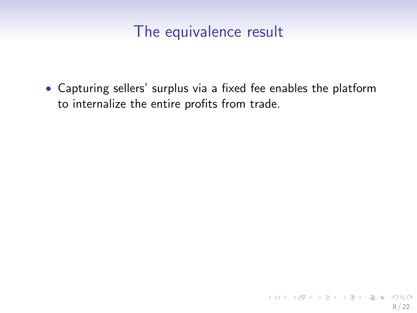• Capturing sellers' surplus via a fixed fee enables the platform to internalize the entire profits from trade.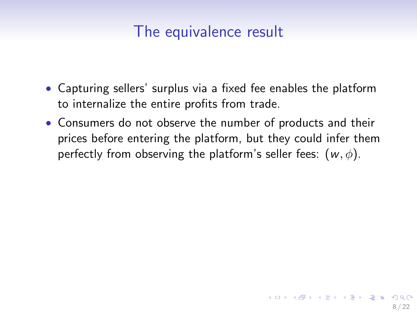- Capturing sellers' surplus via a fixed fee enables the platform to internalize the entire profits from trade.
- Consumers do not observe the number of products and their prices before entering the platform, but they could infer them perfectly from observing the platform's seller fees:  $(w, \phi)$ .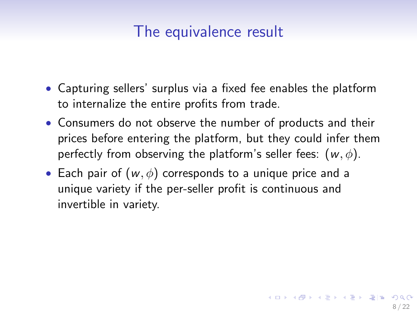- Capturing sellers' surplus via a fixed fee enables the platform to internalize the entire profits from trade.
- Consumers do not observe the number of products and their prices before entering the platform, but they could infer them perfectly from observing the platform's seller fees:  $(w, \phi)$ .
- Each pair of  $(w, \phi)$  corresponds to a unique price and a unique variety if the per-seller profit is continuous and invertible in variety.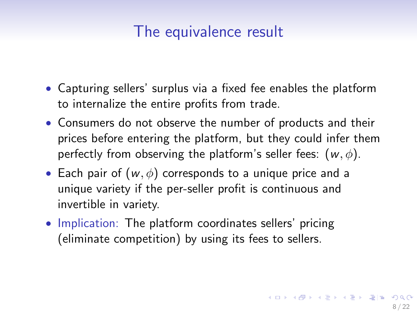- Capturing sellers' surplus via a fixed fee enables the platform to internalize the entire profits from trade.
- Consumers do not observe the number of products and their prices before entering the platform, but they could infer them perfectly from observing the platform's seller fees:  $(w, \phi)$ .
- Each pair of  $(w, \phi)$  corresponds to a unique price and a unique variety if the per-seller profit is continuous and invertible in variety.
- Implication: The platform coordinates sellers' pricing (eliminate competition) by using its fees to sellers.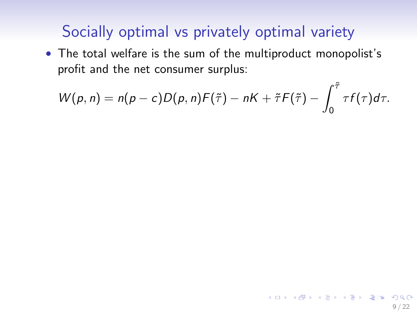• The total welfare is the sum of the multiproduct monopolist's profit and the net consumer surplus:

$$
W(p,n)=n(p-c)D(p,n)F(\tilde{\tau})-nK+\tilde{\tau}F(\tilde{\tau})-\int_0^{\tilde{\tau}}\tau f(\tau)d\tau.
$$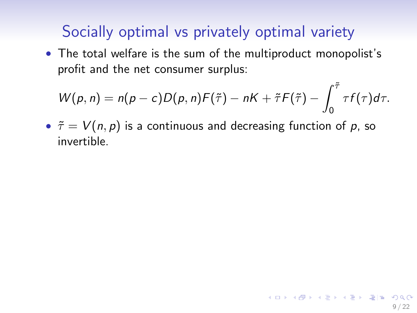• The total welfare is the sum of the multiproduct monopolist's profit and the net consumer surplus:

$$
W(p,n)=n(p-c)D(p,n)F(\tilde{\tau})-nK+\tilde{\tau}F(\tilde{\tau})-\int_0^{\tilde{\tau}}\tau f(\tau)d\tau.
$$

•  $\tilde{\tau} = V(n, p)$  is a continuous and decreasing function of p, so invertible.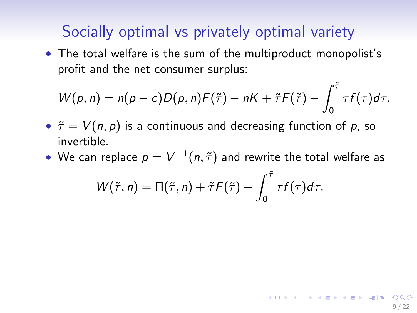• The total welfare is the sum of the multiproduct monopolist's profit and the net consumer surplus:

$$
W(p,n)=n(p-c)D(p,n)F(\tilde{\tau})-nK+\tilde{\tau}F(\tilde{\tau})-\int_0^{\tilde{\tau}}\tau f(\tau)d\tau.
$$

- $\tilde{\tau} = V(n, p)$  is a continuous and decreasing function of p, so invertible.
- $\bullet\,$  We can replace  $p=V^{-1}(n,\tilde{\tau})$  and rewrite the total welfare as

$$
W(\tilde{\tau},n)=\Pi(\tilde{\tau},n)+\tilde{\tau}F(\tilde{\tau})-\int_0^{\tilde{\tau}}\tau f(\tau)d\tau.
$$

9 / 22

**KOD KAD KED KED EE MAA**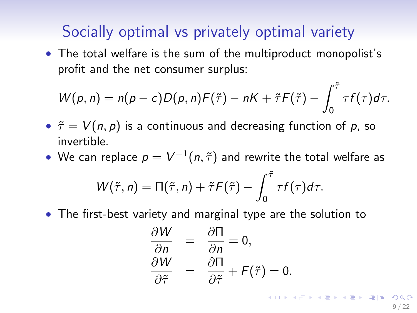• The total welfare is the sum of the multiproduct monopolist's profit and the net consumer surplus:

$$
W(p,n)=n(p-c)D(p,n)F(\tilde{\tau})-nK+\tilde{\tau}F(\tilde{\tau})-\int_0^{\tilde{\tau}}\tau f(\tau)d\tau.
$$

- $\tilde{\tau} = V(n, p)$  is a continuous and decreasing function of p, so invertible.
- $\bullet\,$  We can replace  $p=V^{-1}(n,\tilde{\tau})$  and rewrite the total welfare as

$$
W(\tilde{\tau},n)=\Pi(\tilde{\tau},n)+\tilde{\tau}F(\tilde{\tau})-\int_0^{\tilde{\tau}}\tau f(\tau)d\tau.
$$

• The first-best variety and marginal type are the solution to

$$
\frac{\partial W}{\partial n} = \frac{\partial \Pi}{\partial n} = 0, \n\frac{\partial W}{\partial \tilde{\tau}} = \frac{\partial \Pi}{\partial \tilde{\tau}} + F(\tilde{\tau}) = 0.
$$

9 / 22

**KOD KAD KED KED EE MAA**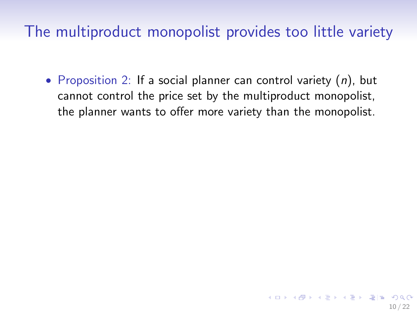The multiproduct monopolist provides too little variety

• Proposition 2: If a social planner can control variety  $(n)$ , but cannot control the price set by the multiproduct monopolist, the planner wants to offer more variety than the monopolist.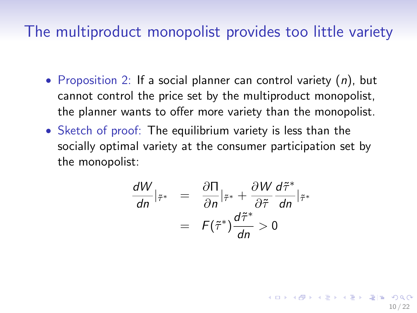#### The multiproduct monopolist provides too little variety

- Proposition 2: If a social planner can control variety  $(n)$ , but cannot control the price set by the multiproduct monopolist, the planner wants to offer more variety than the monopolist.
- Sketch of proof: The equilibrium variety is less than the socially optimal variety at the consumer participation set by the monopolist:

$$
\frac{dW}{dn}|_{\tilde{\tau}^*} = \frac{\partial \Pi}{\partial n}|_{\tilde{\tau}^*} + \frac{\partial W}{\partial \tilde{\tau}} \frac{d\tilde{\tau}^*}{dn}|_{\tilde{\tau}^*} \n= F(\tilde{\tau}^*) \frac{d\tilde{\tau}^*}{dn} > 0
$$

10 / 22

KOR KAR KERKER EE KAA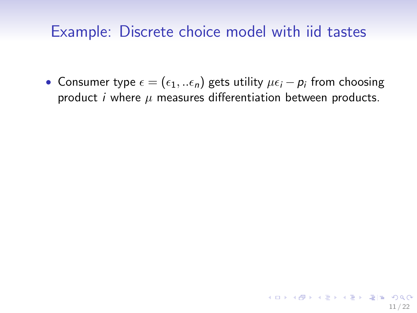#### Example: Discrete choice model with iid tastes

• Consumer type  $\epsilon = (\epsilon_1,..\epsilon_n)$  gets utility  $\mu\epsilon_i - p_i$  from choosing product *i* where  $\mu$  measures differentiation between products.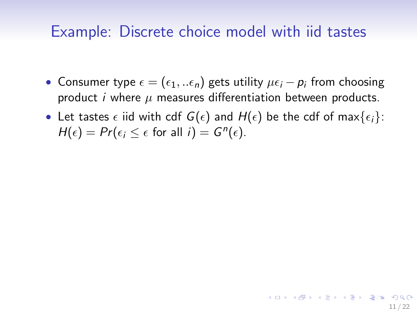#### Example: Discrete choice model with iid tastes

- Consumer type  $\epsilon = (\epsilon_1,..\epsilon_n)$  gets utility  $\mu\epsilon_i p_i$  from choosing product *i* where  $\mu$  measures differentiation between products.
- Let tastes  $\epsilon$  iid with cdf  $G(\epsilon)$  and  $H(\epsilon)$  be the cdf of max $\{\epsilon_i\}$ :  $H(\epsilon) = Pr(\epsilon_i \leq \epsilon \text{ for all } i) = G^n(\epsilon).$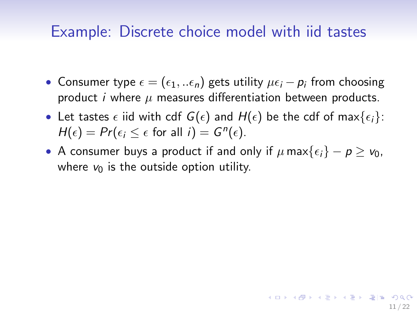#### Example: Discrete choice model with iid tastes

- Consumer type  $\epsilon = (\epsilon_1,..\epsilon_n)$  gets utility  $\mu\epsilon_i p_i$  from choosing product *i* where  $\mu$  measures differentiation between products.
- Let tastes  $\epsilon$  iid with cdf  $G(\epsilon)$  and  $H(\epsilon)$  be the cdf of max $\{\epsilon_i\}$ :  $H(\epsilon) = Pr(\epsilon_i \leq \epsilon \text{ for all } i) = G^n(\epsilon).$
- A consumer buys a product if and only if  $\mu$  max $\{\epsilon_i\} p \geq v_0$ , where  $v_0$  is the outside option utility.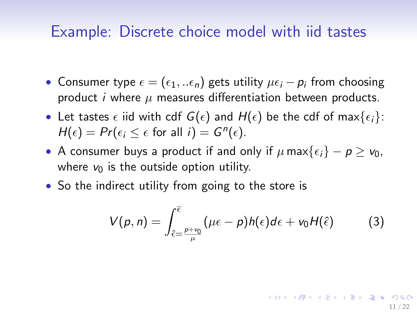#### Example: Discrete choice model with iid tastes

- Consumer type  $\epsilon = (\epsilon_1,..\epsilon_n)$  gets utility  $\mu\epsilon_i p_i$  from choosing product *i* where  $\mu$  measures differentiation between products.
- Let tastes  $\epsilon$  iid with cdf  $G(\epsilon)$  and  $H(\epsilon)$  be the cdf of max $\{\epsilon_i\}$ :  $H(\epsilon) = Pr(\epsilon_i \leq \epsilon \text{ for all } i) = G^n(\epsilon).$
- A consumer buys a product if and only if  $\mu$  max $\{\epsilon_i\} p \geq v_0$ , where  $v_0$  is the outside option utility.
- So the indirect utility from going to the store is

$$
V(p,n) = \int_{\hat{\epsilon}=\frac{p+v_0}{\mu}}^{\bar{\epsilon}} (\mu \epsilon - p) h(\epsilon) d\epsilon + v_0 H(\hat{\epsilon}) \tag{3}
$$

11 / 22

KOR KAR KERKER EE KAA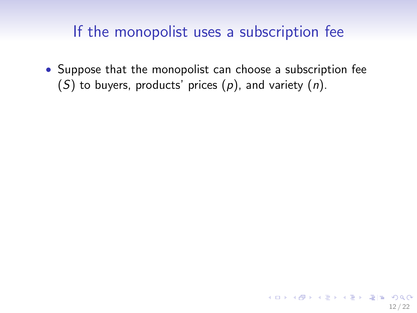• Suppose that the monopolist can choose a subscription fee (S) to buyers, products' prices  $(p)$ , and variety  $(n)$ .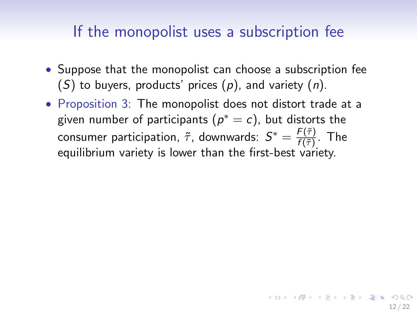- Suppose that the monopolist can choose a subscription fee (S) to buyers, products' prices  $(p)$ , and variety  $(n)$ .
- Proposition 3: The monopolist does not distort trade at a given number of participants  $(\rho^*=c)$ , but distorts the consumer participation,  $\tilde{\tau}$ , downwards:  $S^* = \frac{F(\tilde{\tau})}{f(\tilde{\tau})}$  $\frac{f(\tau)}{f(\tilde{\tau})}$ . The equilibrium variety is lower than the first-best variety.

12 / 22

KID KARA KE KIRA EHEMA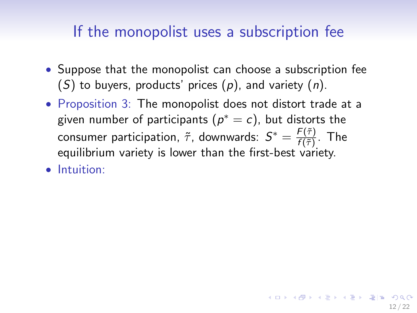- Suppose that the monopolist can choose a subscription fee (S) to buyers, products' prices  $(p)$ , and variety  $(n)$ .
- Proposition 3: The monopolist does not distort trade at a given number of participants  $(\rho^*=c)$ , but distorts the consumer participation,  $\tilde{\tau}$ , downwards:  $S^* = \frac{F(\tilde{\tau})}{f(\tilde{\tau})}$  $\frac{f(\tau)}{f(\tilde{\tau})}$ . The equilibrium variety is lower than the first-best variety.

12 / 22

KID KARA KE KIRA EHEMA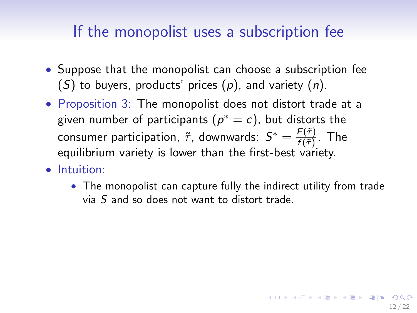- Suppose that the monopolist can choose a subscription fee  $(S)$  to buyers, products' prices  $(p)$ , and variety  $(n)$ .
- Proposition 3: The monopolist does not distort trade at a given number of participants  $(\rho^*=c)$ , but distorts the consumer participation,  $\tilde{\tau}$ , downwards:  $S^* = \frac{F(\tilde{\tau})}{f(\tilde{\tau})}$  $\frac{f(\tau)}{f(\tilde{\tau})}$ . The equilibrium variety is lower than the first-best variety.
- Intuition:
	- The monopolist can capture fully the indirect utility from trade via S and so does not want to distort trade.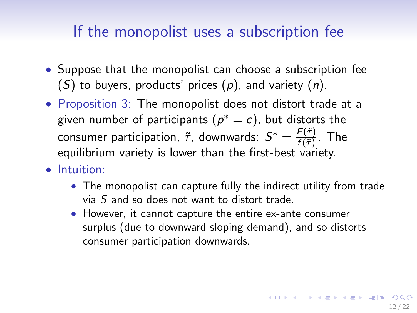- Suppose that the monopolist can choose a subscription fee  $(S)$  to buyers, products' prices  $(p)$ , and variety  $(n)$ .
- Proposition 3: The monopolist does not distort trade at a given number of participants  $(\rho^*=c)$ , but distorts the consumer participation,  $\tilde{\tau}$ , downwards:  $S^* = \frac{F(\tilde{\tau})}{f(\tilde{\tau})}$  $\frac{f(\tau)}{f(\tilde{\tau})}$ . The equilibrium variety is lower than the first-best variety.
- Intuition:
	- The monopolist can capture fully the indirect utility from trade via S and so does not want to distort trade.
	- However, it cannot capture the entire ex-ante consumer surplus (due to downward sloping demand), and so distorts consumer participation downwards.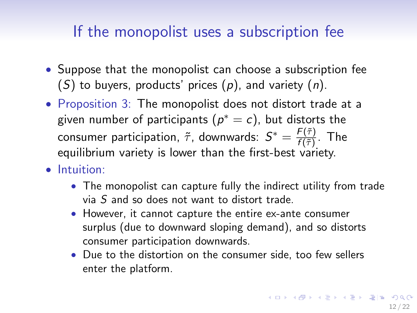- Suppose that the monopolist can choose a subscription fee  $(S)$  to buyers, products' prices  $(p)$ , and variety  $(n)$ .
- Proposition 3: The monopolist does not distort trade at a given number of participants  $(\rho^*=c)$ , but distorts the consumer participation,  $\tilde{\tau}$ , downwards:  $S^* = \frac{F(\tilde{\tau})}{f(\tilde{\tau})}$  $\frac{f(\tau)}{f(\tilde{\tau})}$ . The equilibrium variety is lower than the first-best variety.
- Intuition:
	- The monopolist can capture fully the indirect utility from trade via S and so does not want to distort trade.
	- However, it cannot capture the entire ex-ante consumer surplus (due to downward sloping demand), and so distorts consumer participation downwards.
	- Due to the distortion on the consumer side, too few sellers enter the platform.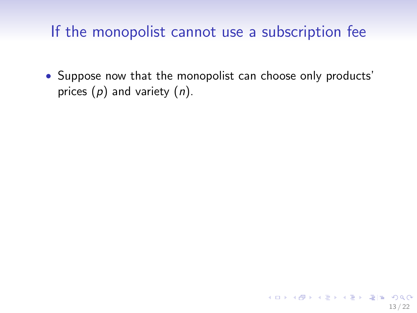• Suppose now that the monopolist can choose only products' prices  $(p)$  and variety  $(n)$ .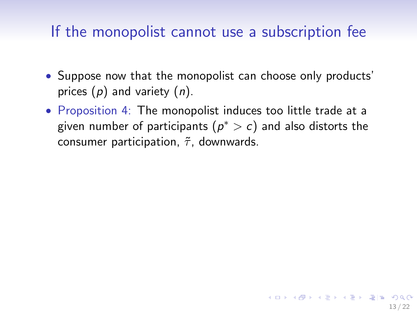- Suppose now that the monopolist can choose only products' prices  $(p)$  and variety  $(n)$ .
- Proposition 4: The monopolist induces too little trade at a given number of participants  $(\rho^*>\epsilon)$  and also distorts the consumer participation,  $\tilde{\tau}$ , downwards.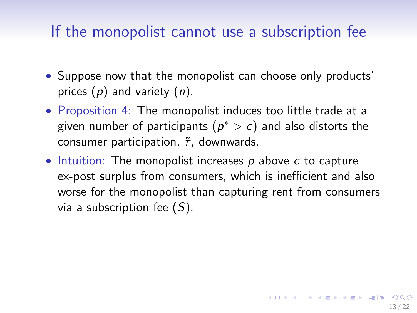- Suppose now that the monopolist can choose only products' prices  $(p)$  and variety  $(n)$ .
- Proposition 4: The monopolist induces too little trade at a given number of participants  $(\rho^*>\epsilon)$  and also distorts the consumer participation,  $\tilde{\tau}$ , downwards.
- $\bullet$  Intuition: The monopolist increases p above c to capture ex-post surplus from consumers, which is inefficient and also worse for the monopolist than capturing rent from consumers via a subscription fee  $(S)$ .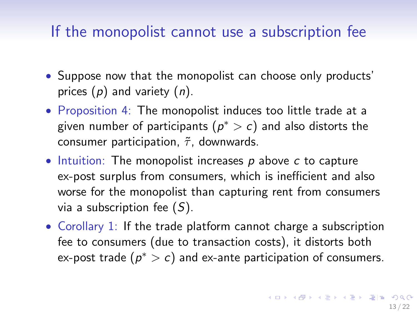- Suppose now that the monopolist can choose only products' prices  $(p)$  and variety  $(n)$ .
- Proposition 4: The monopolist induces too little trade at a given number of participants  $(\rho^*>\epsilon)$  and also distorts the consumer participation,  $\tilde{\tau}$ , downwards.
- $\bullet$  Intuition: The monopolist increases p above c to capture ex-post surplus from consumers, which is inefficient and also worse for the monopolist than capturing rent from consumers via a subscription fee  $(S)$ .
- Corollary 1: If the trade platform cannot charge a subscription fee to consumers (due to transaction costs), it distorts both ex-post trade  $(p^* > c)$  and ex-ante participation of consumers.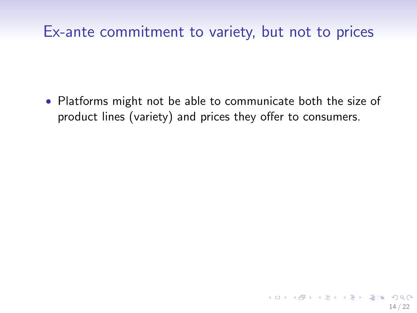• Platforms might not be able to communicate both the size of product lines (variety) and prices they offer to consumers.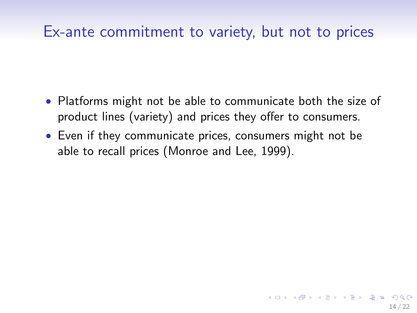- Platforms might not be able to communicate both the size of product lines (variety) and prices they offer to consumers.
- Even if they communicate prices, consumers might not be able to recall prices (Monroe and Lee, 1999).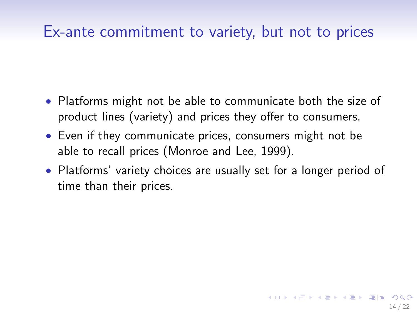- Platforms might not be able to communicate both the size of product lines (variety) and prices they offer to consumers.
- Even if they communicate prices, consumers might not be able to recall prices (Monroe and Lee, 1999).
- Platforms' variety choices are usually set for a longer period of time than their prices.

14 / 22

KOR KAR KERKER EE KAA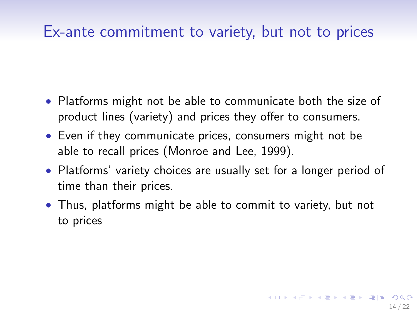- Platforms might not be able to communicate both the size of product lines (variety) and prices they offer to consumers.
- Even if they communicate prices, consumers might not be able to recall prices (Monroe and Lee, 1999).
- Platforms' variety choices are usually set for a longer period of time than their prices.
- Thus, platforms might be able to commit to variety, but not to prices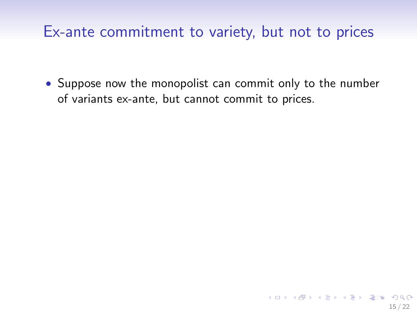• Suppose now the monopolist can commit only to the number of variants ex-ante, but cannot commit to prices.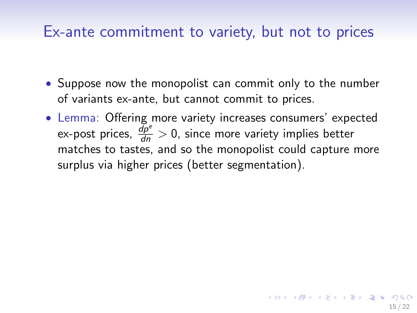- Suppose now the monopolist can commit only to the number of variants ex-ante, but cannot commit to prices.
- Lemma: Offering more variety increases consumers' expected ex-post prices,  $\frac{dP^e}{dn} > 0$ , since more variety implies better matches to tastes, and so the monopolist could capture more surplus via higher prices (better segmentation).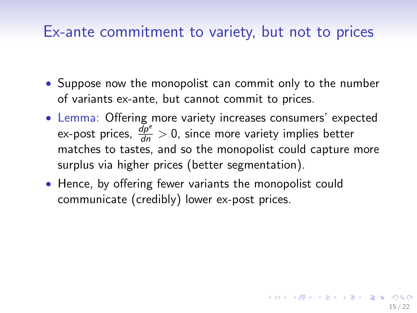- Suppose now the monopolist can commit only to the number of variants ex-ante, but cannot commit to prices.
- Lemma: Offering more variety increases consumers' expected ex-post prices,  $\frac{dP^e}{dn} > 0$ , since more variety implies better matches to tastes, and so the monopolist could capture more surplus via higher prices (better segmentation).

15 / 22

KOR KAR KERKER EE KAA

• Hence, by offering fewer variants the monopolist could communicate (credibly) lower ex-post prices.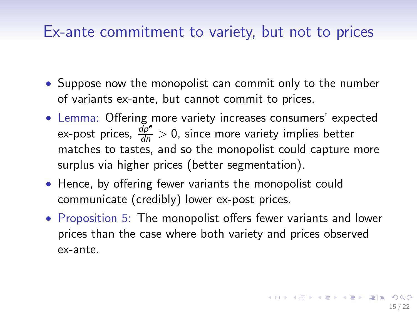- <span id="page-55-0"></span>• Suppose now the monopolist can commit only to the number of variants ex-ante, but cannot commit to prices.
- Lemma: Offering more variety increases consumers' expected ex-post prices,  $\frac{dP^e}{dn} > 0$ , since more variety implies better matches to tastes, and so the monopolist could capture more surplus via higher prices (better segmentation).
- Hence, by offering fewer variants the monopolist could communicate (credibly) lower ex-post prices.
- Proposition 5: The monopolist offers fewer variants and lower prices than the case where both variety and prices observed ex-ante.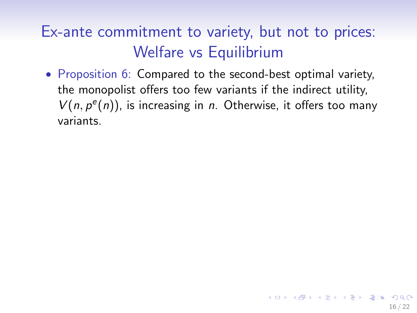<span id="page-56-0"></span>• Proposition 6: Compared to the second-best optimal variety, the monopolist offers too few variants if the indirect utility,  $V(n, p^e(n))$ , is increasing in *n*. Otherwise, it offers too many variants.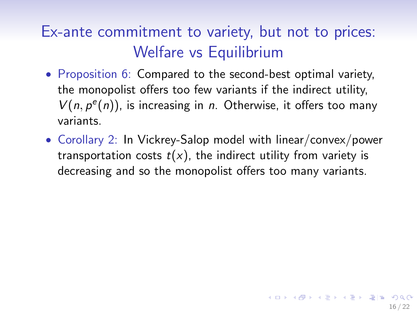- Proposition 6: Compared to the second-best optimal variety, the monopolist offers too few variants if the indirect utility,  $V(n, p^e(n))$ , is increasing in *n*. Otherwise, it offers too many variants.
- Corollary 2: In Vickrey-Salop model with linear/convex/power transportation costs  $t(x)$ , the indirect utility from variety is decreasing and so the monopolist offers too many variants.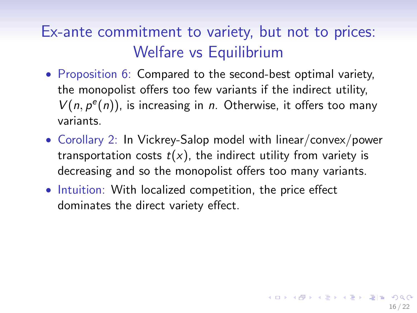- Proposition 6: Compared to the second-best optimal variety, the monopolist offers too few variants if the indirect utility,  $V(n, p^e(n))$ , is increasing in *n*. Otherwise, it offers too many variants.
- Corollary 2: In Vickrey-Salop model with linear/convex/power transportation costs  $t(x)$ , the indirect utility from variety is decreasing and so the monopolist offers too many variants.
- Intuition: With localized competition, the price effect dominates the direct variety effect.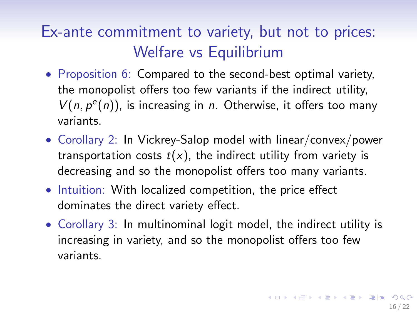- <span id="page-59-0"></span>• Proposition 6: Compared to the second-best optimal variety, the monopolist offers too few variants if the indirect utility,  $V(n, p^e(n))$ , is increasing in *n*. Otherwise, it offers too many variants.
- Corollary 2: In Vickrey-Salop model with linear/convex/power transportation costs  $t(x)$ , the indirect utility from variety is decreasing and so the monopolist offers too many variants.
- Intuition: With localized competition, the price effect dominates the direct variety effect.
- Corollary 3: In multinominal logit model, the indirect utility is increasing in variety, and so the monopolist offers too few variants.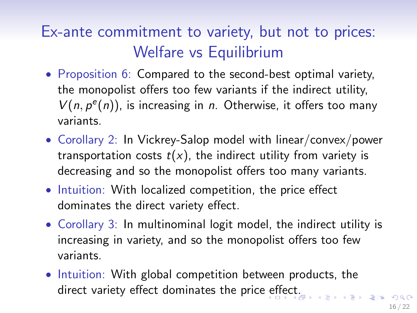- Proposition 6: Compared to the second-best optimal variety, the monopolist offers too few variants if the indirect utility,  $V(n, p^e(n))$ , is increasing in *n*. Otherwise, it offers too many variants.
- Corollary 2: In Vickrey-Salop model with linear/convex/power transportation costs  $t(x)$ , the indirect utility from variety is decreasing and so the monopolist offers too many variants.
- Intuition: With localized competition, the price effect dominates the direct variety effect.
- Corollary 3: In multinominal logit model, the indirect utility is increasing in variety, and so the monopolist offers too few variants.
- Intuition: With global competition between products, the direct variety [e](#page-59-0)[ffe](#page-61-0)[ct](#page-55-0) dominates the price effect[.](#page-56-0)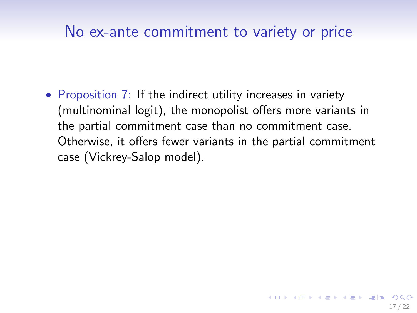### <span id="page-61-0"></span>No ex-ante commitment to variety or price

• Proposition 7: If the indirect utility increases in variety (multinominal logit), the monopolist offers more variants in the partial commitment case than no commitment case. Otherwise, it offers fewer variants in the partial commitment case (Vickrey-Salop model).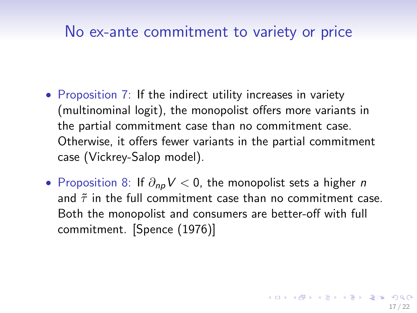#### No ex-ante commitment to variety or price

- Proposition 7: If the indirect utility increases in variety (multinominal logit), the monopolist offers more variants in the partial commitment case than no commitment case. Otherwise, it offers fewer variants in the partial commitment case (Vickrey-Salop model).
- Proposition 8: If  $\partial_{np} V < 0$ , the monopolist sets a higher *n* and  $\tilde{\tau}$  in the full commitment case than no commitment case. Both the monopolist and consumers are better-off with full commitment. [Spence (1976)]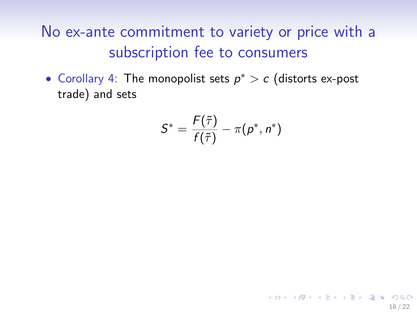• Corollary 4: The monopolist sets  $p^* > c$  (distorts ex-post trade) and sets

$$
S^* = \frac{F(\tilde{\tau})}{f(\tilde{\tau})} - \pi(p^*, n^*)
$$

18 / 22

KOR KAR KERKER EE KORA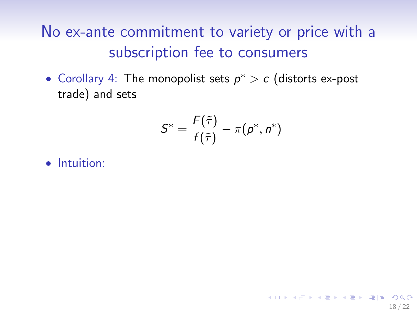• Corollary 4: The monopolist sets  $p^* > c$  (distorts ex-post trade) and sets

$$
S^* = \frac{F(\tilde{\tau})}{f(\tilde{\tau})} - \pi(p^*, n^*)
$$

18 / 22

KOR KAR KERKER EE KAA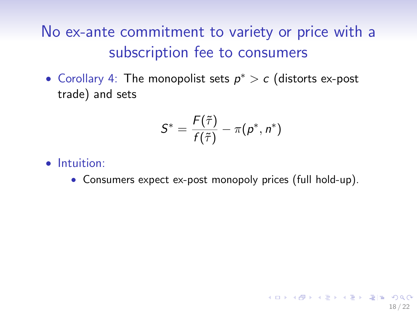• Corollary 4: The monopolist sets  $p^* > c$  (distorts ex-post trade) and sets

$$
S^* = \frac{F(\tilde{\tau})}{f(\tilde{\tau})} - \pi(p^*, n^*)
$$

- Intuition:
	- Consumers expect ex-post monopoly prices (full hold-up).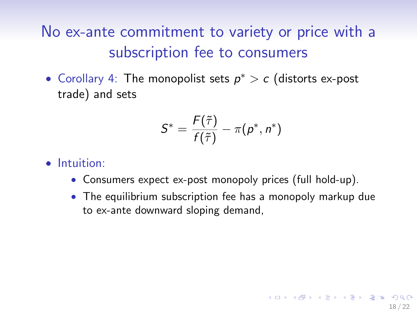• Corollary 4: The monopolist sets  $p^* > c$  (distorts ex-post trade) and sets

$$
S^* = \frac{F(\tilde{\tau})}{f(\tilde{\tau})} - \pi(p^*, n^*)
$$

- Consumers expect ex-post monopoly prices (full hold-up).
- The equilibrium subscription fee has a monopoly markup due to ex-ante downward sloping demand,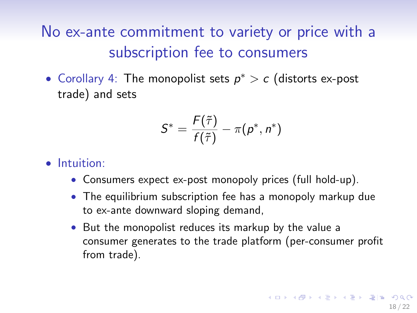• Corollary 4: The monopolist sets  $p^* > c$  (distorts ex-post trade) and sets

$$
S^* = \frac{F(\tilde{\tau})}{f(\tilde{\tau})} - \pi(p^*, n^*)
$$

- Consumers expect ex-post monopoly prices (full hold-up).
- The equilibrium subscription fee has a monopoly markup due to ex-ante downward sloping demand,
- But the monopolist reduces its markup by the value a consumer generates to the trade platform (per-consumer profit from trade).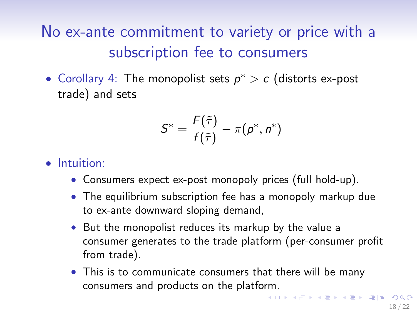• Corollary 4: The monopolist sets  $p^* > c$  (distorts ex-post trade) and sets

$$
S^* = \frac{F(\tilde{\tau})}{f(\tilde{\tau})} - \pi(p^*, n^*)
$$

- Consumers expect ex-post monopoly prices (full hold-up).
- The equilibrium subscription fee has a monopoly markup due to ex-ante downward sloping demand,
- But the monopolist reduces its markup by the value a consumer generates to the trade platform (per-consumer profit from trade).
- This is to communicate consumers that there will be many consumers and products on the platform.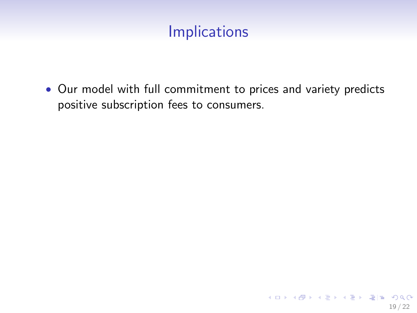# Implications

• Our model with full commitment to prices and variety predicts positive subscription fees to consumers.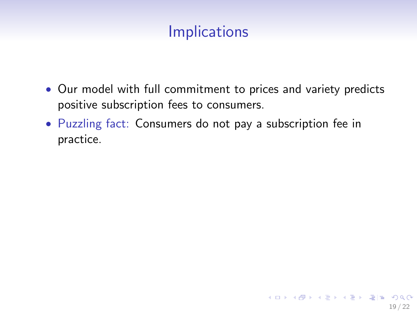# **Implications**

- Our model with full commitment to prices and variety predicts positive subscription fees to consumers.
- Puzzling fact: Consumers do not pay a subscription fee in practice.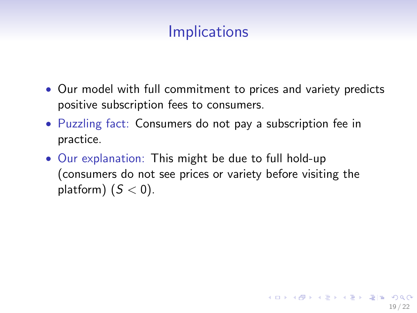# **Implications**

- Our model with full commitment to prices and variety predicts positive subscription fees to consumers.
- Puzzling fact: Consumers do not pay a subscription fee in practice.
- Our explanation: This might be due to full hold-up (consumers do not see prices or variety before visiting the platform)  $(S < 0)$ .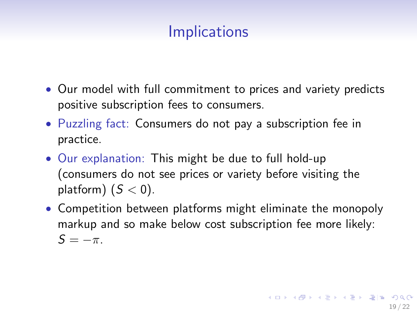## **Implications**

- Our model with full commitment to prices and variety predicts positive subscription fees to consumers.
- Puzzling fact: Consumers do not pay a subscription fee in practice.
- Our explanation: This might be due to full hold-up (consumers do not see prices or variety before visiting the platform)  $(S < 0)$ .
- Competition between platforms might eliminate the monopoly markup and so make below cost subscription fee more likely:  $S = -\pi$ .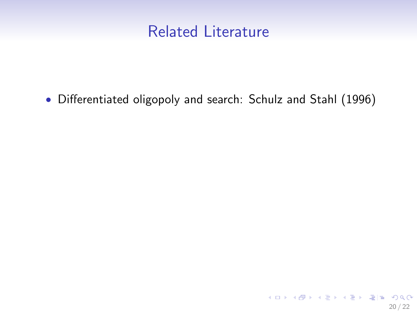• Differentiated oligopoly and search: Schulz and Stahl (1996)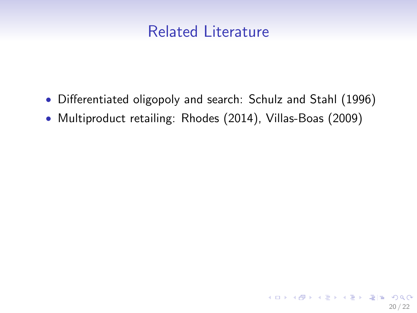- Differentiated oligopoly and search: Schulz and Stahl (1996)
- Multiproduct retailing: Rhodes (2014), Villas-Boas (2009)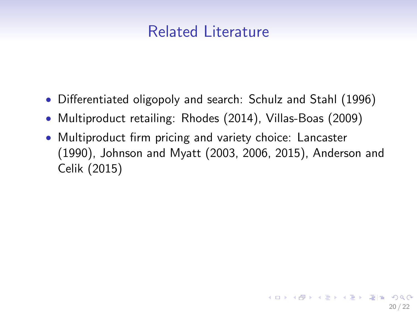- Differentiated oligopoly and search: Schulz and Stahl (1996)
- Multiproduct retailing: Rhodes (2014), Villas-Boas (2009)
- Multiproduct firm pricing and variety choice: Lancaster (1990), Johnson and Myatt (2003, 2006, 2015), Anderson and Celik (2015)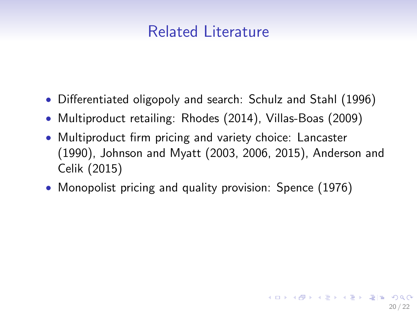- Differentiated oligopoly and search: Schulz and Stahl (1996)
- Multiproduct retailing: Rhodes (2014), Villas-Boas (2009)
- Multiproduct firm pricing and variety choice: Lancaster (1990), Johnson and Myatt (2003, 2006, 2015), Anderson and Celik (2015)
- Monopolist pricing and quality provision: Spence (1976)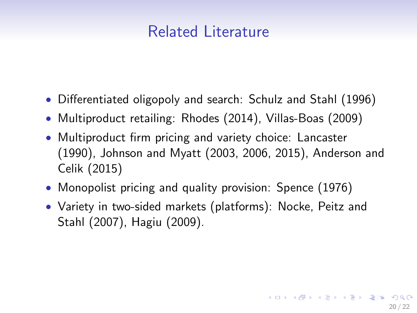- Differentiated oligopoly and search: Schulz and Stahl (1996)
- Multiproduct retailing: Rhodes (2014), Villas-Boas (2009)
- Multiproduct firm pricing and variety choice: Lancaster (1990), Johnson and Myatt (2003, 2006, 2015), Anderson and Celik (2015)
- Monopolist pricing and quality provision: Spence (1976)
- Variety in two-sided markets (platforms): Nocke, Peitz and Stahl (2007), Hagiu (2009).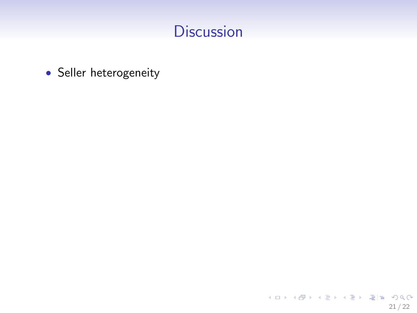• Seller heterogeneity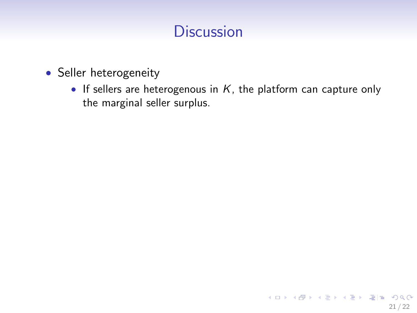- Seller heterogeneity
	- If sellers are heterogenous in  $K$ , the platform can capture only the marginal seller surplus.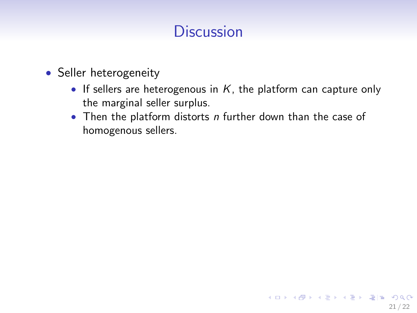- Seller heterogeneity
	- If sellers are heterogenous in  $K$ , the platform can capture only the marginal seller surplus.
	- Then the platform distorts  $n$  further down than the case of homogenous sellers.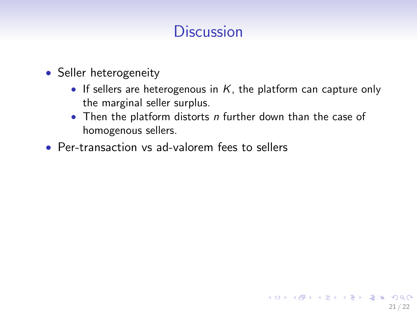- Seller heterogeneity
	- If sellers are heterogenous in  $K$ , the platform can capture only the marginal seller surplus.

21 / 22

K ロ > K @ ▶ K 글 ▶ K 글 ▶ (글)曰 (9) Q Q

- Then the platform distorts  $n$  further down than the case of homogenous sellers.
- Per-transaction vs ad-valorem fees to sellers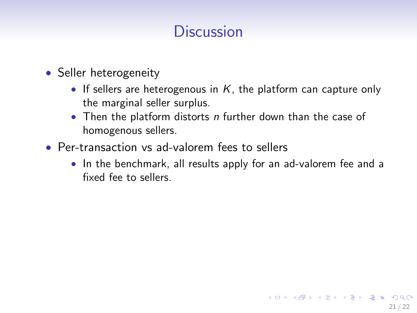- Seller heterogeneity
	- If sellers are heterogenous in  $K$ , the platform can capture only the marginal seller surplus.
	- Then the platform distorts  $n$  further down than the case of homogenous sellers.
- Per-transaction vs ad-valorem fees to sellers
	- In the benchmark, all results apply for an ad-valorem fee and a fixed fee to sellers.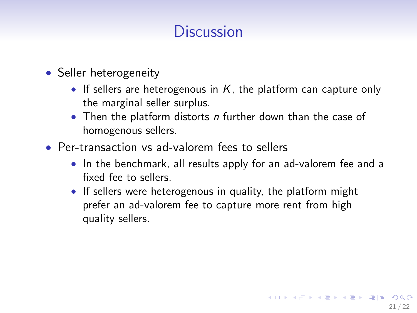- Seller heterogeneity
	- If sellers are heterogenous in  $K$ , the platform can capture only the marginal seller surplus.
	- Then the platform distorts  $n$  further down than the case of homogenous sellers.
- Per-transaction vs ad-valorem fees to sellers
	- In the benchmark, all results apply for an ad-valorem fee and a fixed fee to sellers.
	- If sellers were heterogenous in quality, the platform might prefer an ad-valorem fee to capture more rent from high quality sellers.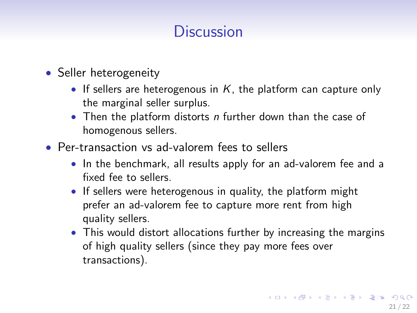- Seller heterogeneity
	- If sellers are heterogenous in  $K$ , the platform can capture only the marginal seller surplus.
	- Then the platform distorts  $n$  further down than the case of homogenous sellers.
- Per-transaction vs ad-valorem fees to sellers
	- In the benchmark, all results apply for an ad-valorem fee and a fixed fee to sellers.
	- If sellers were heterogenous in quality, the platform might prefer an ad-valorem fee to capture more rent from high quality sellers.
	- This would distort allocations further by increasing the margins of high quality sellers (since they pay more fees over transactions).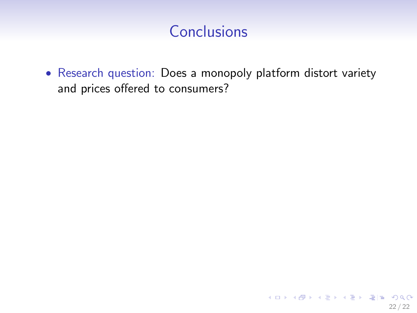• Research question: Does a monopoly platform distort variety and prices offered to consumers?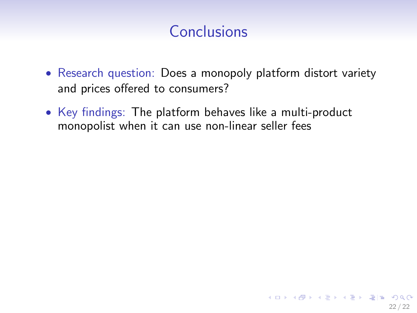- Research question: Does a monopoly platform distort variety and prices offered to consumers?
- Key findings: The platform behaves like a multi-product monopolist when it can use non-linear seller fees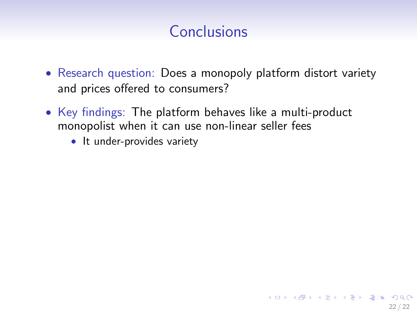- Research question: Does a monopoly platform distort variety and prices offered to consumers?
- Key findings: The platform behaves like a multi-product monopolist when it can use non-linear seller fees
	- It under-provides variety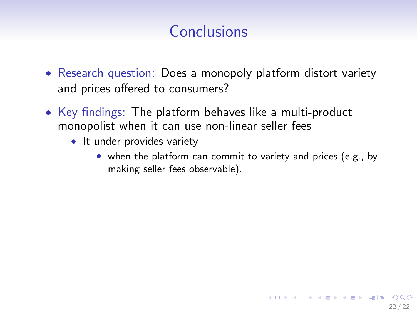- Research question: Does a monopoly platform distort variety and prices offered to consumers?
- Key findings: The platform behaves like a multi-product monopolist when it can use non-linear seller fees
	- It under-provides variety
		- when the platform can commit to variety and prices (e.g., by making seller fees observable).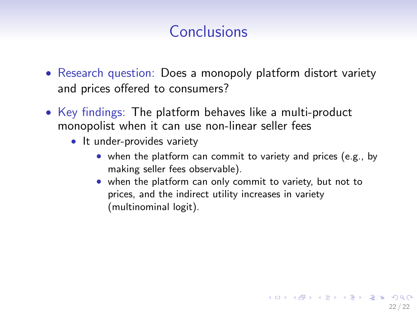- Research question: Does a monopoly platform distort variety and prices offered to consumers?
- Key findings: The platform behaves like a multi-product monopolist when it can use non-linear seller fees
	- It under-provides variety
		- when the platform can commit to variety and prices (e.g., by making seller fees observable).
		- when the platform can only commit to variety, but not to prices, and the indirect utility increases in variety (multinominal logit).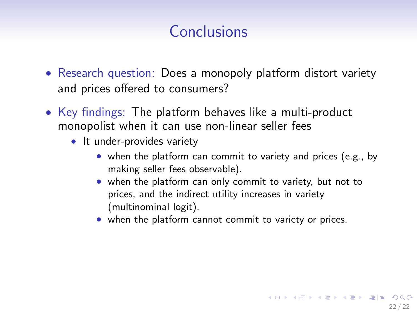- Research question: Does a monopoly platform distort variety and prices offered to consumers?
- Key findings: The platform behaves like a multi-product monopolist when it can use non-linear seller fees
	- It under-provides variety
		- when the platform can commit to variety and prices (e.g., by making seller fees observable).

22 / 22

KOR KAR KERKER EE MAA

- when the platform can only commit to variety, but not to prices, and the indirect utility increases in variety (multinominal logit).
- when the platform cannot commit to variety or prices.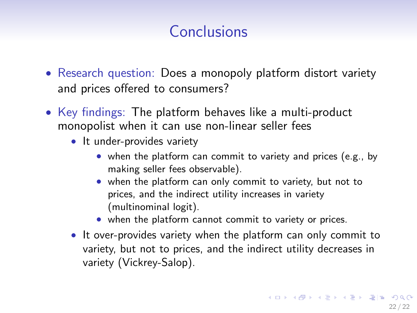- Research question: Does a monopoly platform distort variety and prices offered to consumers?
- Key findings: The platform behaves like a multi-product monopolist when it can use non-linear seller fees
	- It under-provides variety
		- when the platform can commit to variety and prices (e.g., by making seller fees observable).
		- when the platform can only commit to variety, but not to prices, and the indirect utility increases in variety (multinominal logit).
		- when the platform cannot commit to variety or prices.
	- It over-provides variety when the platform can only commit to variety, but not to prices, and the indirect utility decreases in variety (Vickrey-Salop).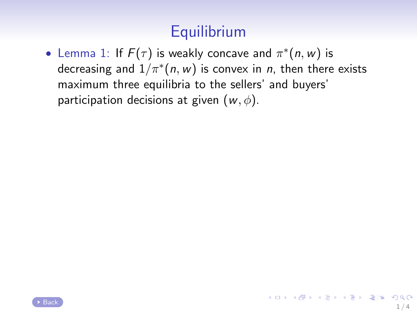# **Equilibrium**

• Lemma 1: If  $F(\tau)$  is weakly concave and  $\pi^*(n, w)$  is decreasing and  $1/\pi^*(n, w)$  is convex in  $n$ , then there exists maximum three equilibria to the sellers' and buyers' participation decisions at given  $(w, \phi)$ .

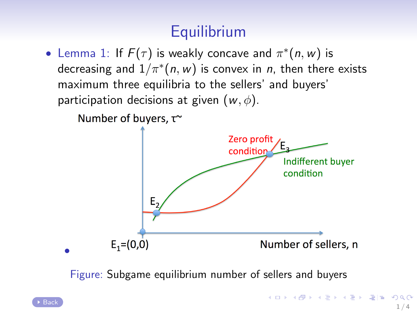# **Equilibrium**

<span id="page-93-0"></span>• Lemma 1: If  $F(\tau)$  is weakly concave and  $\pi^*(n, w)$  is decreasing and  $1/\pi^*(n, w)$  is convex in  $n$ , then there exists maximum three equilibria to the sellers' and buyers' participation decisions at given  $(w, \phi)$ .

Number of buyers, τ~



Figure: Subgame equilibrium number of sellers and buyers

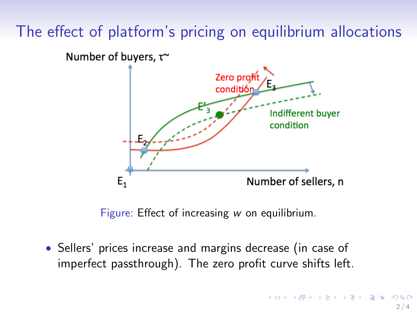<span id="page-94-0"></span>Number of buyers, τ~



Figure: Effect of increasing w on equilibrium.

• Sellers' prices increase and margins decrease (in case of imperfect passthrough). The zero profit curve shifts left.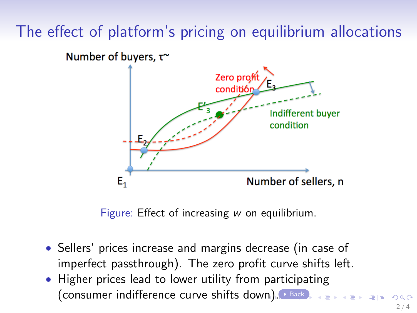<span id="page-95-0"></span>Number of buyers, τ~



Figure: Effect of increasing w on equilibrium.

- Sellers' prices increase and margins decrease (in case of imperfect passthrough). The zero profit curve shifts left.
- Higher prices lead to lower utility from participating (consumer indifference curve shifts dow[n\)](#page-94-0). [Back](#page-21-0) 경기 시청에 평범한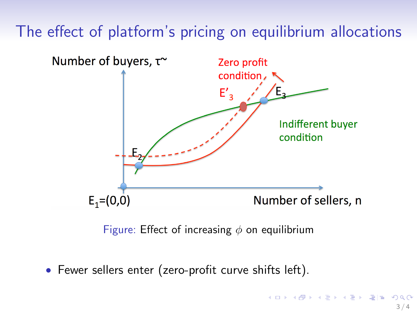<span id="page-96-0"></span>

Figure: Effect of increasing  $\phi$  on equilibrium

• Fewer sellers enter (zero-profit curve shifts left).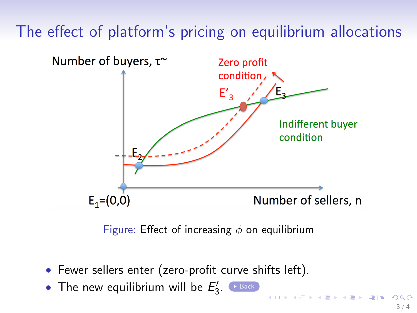<span id="page-97-0"></span>

Figure: Effect of increasing  $\phi$  on equilibrium

 $3/4$ 

- Fewer sellers enter (zero-profit curve shifts left).
- The new equilibrium will be  $E'_3$ .  $\longrightarrow$  [Back](#page-21-0)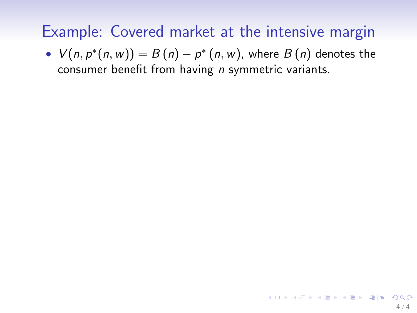•  $V(n, p^*(n, w)) = B(n) - p^*(n, w)$ , where  $B(n)$  denotes the consumer benefit from having  $n$  symmetric variants.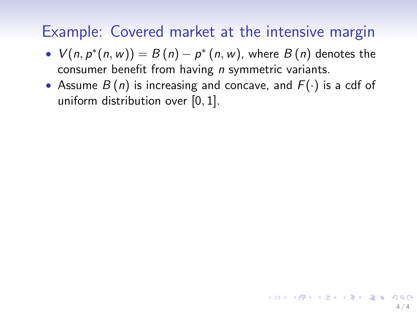- $V(n, p^*(n, w)) = B(n) p^*(n, w)$ , where  $B(n)$  denotes the consumer benefit from having *n* symmetric variants.
- Assume  $B(n)$  is increasing and concave, and  $F(\cdot)$  is a cdf of uniform distribution over [0, 1].

 $4/4$ 

KOR KAR KERKER EN AGA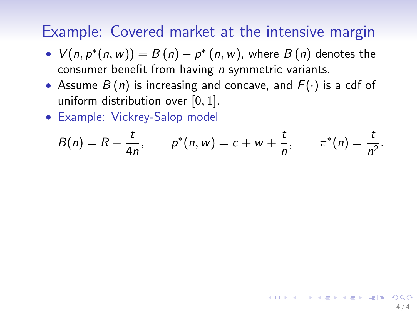- $V(n, p^*(n, w)) = B(n) p^*(n, w)$ , where  $B(n)$  denotes the consumer benefit from having *n* symmetric variants.
- Assume  $B(n)$  is increasing and concave, and  $F(\cdot)$  is a cdf of uniform distribution over  $[0, 1]$ .
- Example: Vickrey-Salop model

$$
B(n) = R - \frac{t}{4n}, \qquad p^*(n, w) = c + w + \frac{t}{n}, \qquad \pi^*(n) = \frac{t}{n^2}.
$$

 $4/4$ 

KOR KAR KERKER EN AGA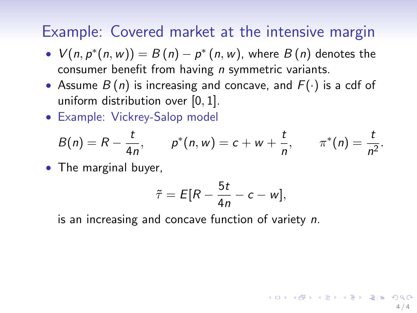- <span id="page-101-0"></span>•  $V(n, p^*(n, w)) = B(n) - p^*(n, w)$ , where  $B(n)$  denotes the consumer benefit from having *n* symmetric variants.
- Assume  $B(n)$  is increasing and concave, and  $F(\cdot)$  is a cdf of uniform distribution over [0, 1].
- Example: Vickrey-Salop model

$$
B(n) = R - \frac{t}{4n}, \qquad p^*(n, w) = c + w + \frac{t}{n}, \qquad \pi^*(n) = \frac{t}{n^2}.
$$

• The marginal buyer,

$$
\tilde{\tau} = E[R - \frac{5t}{4n} - c - w],
$$

4 / 4

KOR KARRIKER KER EIE VAG

is an increasing and concave function of variety n.